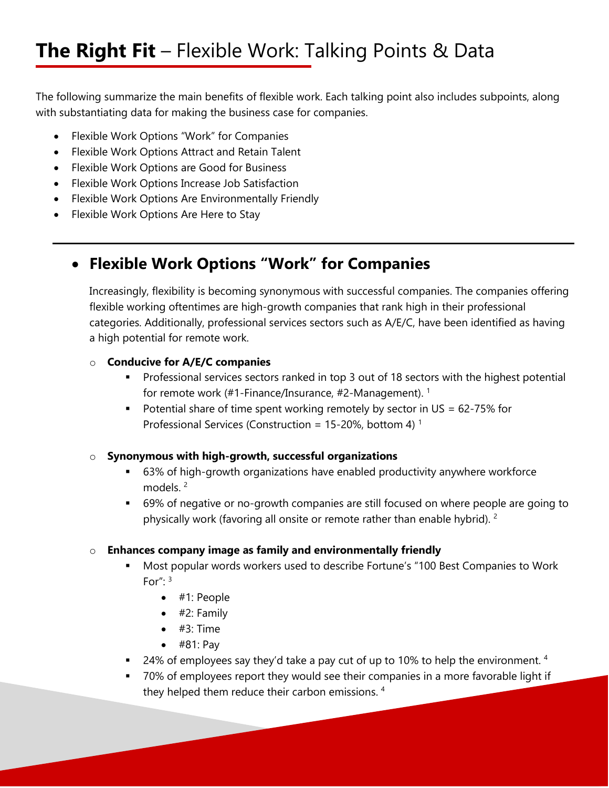The following summarize the main benefits of flexible work. Each talking point also includes subpoints, along with substantiating data for making the business case for companies.

- Flexible Work Options "Work" for Companies
- Flexible Work Options Attract and Retain Talent
- Flexible Work Options are Good for Business
- Flexible Work Options Increase Job Satisfaction
- Flexible Work Options Are Environmentally Friendly
- Flexible Work Options Are Here to Stay

## **Flexible Work Options "Work" for Companies**

Increasingly, flexibility is becoming synonymous with successful companies. The companies offering flexible working oftentimes are high-growth companies that rank high in their professional categories. Additionally, professional services sectors such as A/E/C, have been identified as having a high potential for remote work.

### o **Conducive for A/E/C companies**

- Professional services sectors ranked in top 3 out of 18 sectors with the highest potential for remote work (#1-Finance/Insurance, #2-Management). 1
- Potential share of time spent working remotely by sector in  $US = 62-75\%$  for Professional Services (Construction = 15-20%, bottom 4)<sup>1</sup>

### o **Synonymous with high-growth, successful organizations**

- 63% of high-growth organizations have enabled productivity anywhere workforce models<sup>2</sup>
- 69% of negative or no-growth companies are still focused on where people are going to physically work (favoring all onsite or remote rather than enable hybrid). 2

### o **Enhances company image as family and environmentally friendly**

- Most popular words workers used to describe Fortune's "100 Best Companies to Work For":  $3$ 
	- #1: People
	- $\bullet$  #2: Family
	- $\bullet$  #3: Time
	- $\bullet$  #81: Pay
- $\blacksquare$  24% of employees say they'd take a pay cut of up to 10% to help the environment. <sup>4</sup>
- 70% of employees report they would see their companies in a more favorable light if they helped them reduce their carbon emissions. 4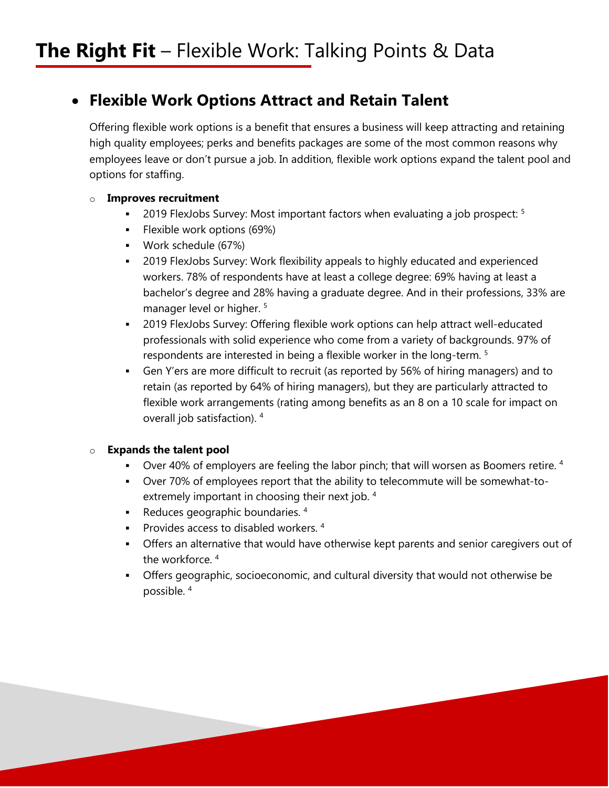### **Flexible Work Options Attract and Retain Talent**

Offering flexible work options is a benefit that ensures a business will keep attracting and retaining high quality employees; perks and benefits packages are some of the most common reasons why employees leave or don't pursue a job. In addition, flexible work options expand the talent pool and options for staffing.

### o **Improves recruitment**

- **2019 FlexJobs Survey: Most important factors when evaluating a job prospect:**  $5$
- **Flexible work options (69%)**
- Work schedule (67%)
- 2019 FlexJobs Survey: Work flexibility appeals to highly educated and experienced workers. 78% of respondents have at least a college degree: 69% having at least a bachelor's degree and 28% having a graduate degree. And in their professions, 33% are manager level or higher.<sup>5</sup>
- 2019 FlexJobs Survey: Offering flexible work options can help attract well-educated professionals with solid experience who come from a variety of backgrounds. 97% of respondents are interested in being a flexible worker in the long-term. 5
- Gen Y'ers are more difficult to recruit (as reported by 56% of hiring managers) and to retain (as reported by 64% of hiring managers), but they are particularly attracted to flexible work arrangements (rating among benefits as an 8 on a 10 scale for impact on overall job satisfaction). 4

### o **Expands the talent pool**

- Over 40% of employers are feeling the labor pinch; that will worsen as Boomers retire.  $4$
- Over 70% of employees report that the ability to telecommute will be somewhat-toextremely important in choosing their next job. 4
- Reduces geographic boundaries.  $4\overline{ }$
- **Provides access to disabled workers.**  $4$
- Offers an alternative that would have otherwise kept parents and senior caregivers out of the workforce. 4
- Offers geographic, socioeconomic, and cultural diversity that would not otherwise be possible. 4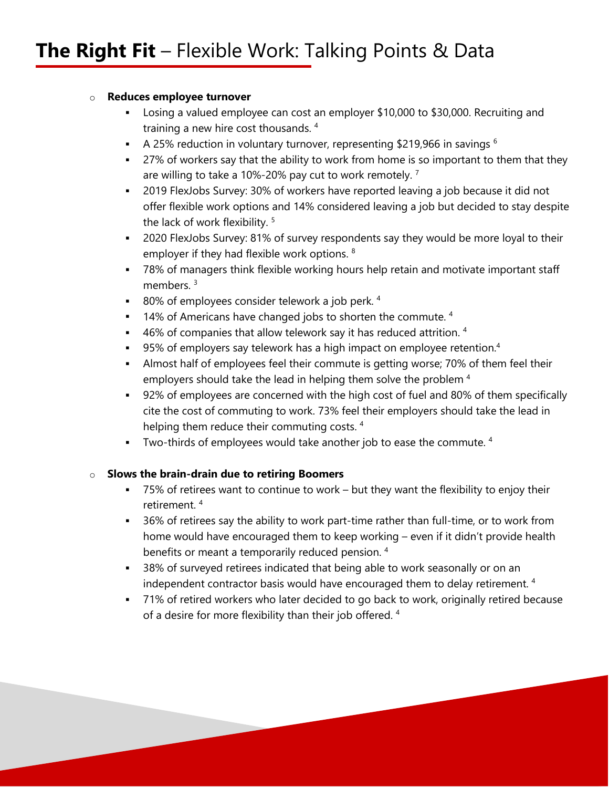### o **Reduces employee turnover**

- Losing a valued employee can cost an employer \$10,000 to \$30,000. Recruiting and training a new hire cost thousands. 4
- A 25% reduction in voluntary turnover, representing \$219,966 in savings  $6$
- <sup>27%</sup> of workers say that the ability to work from home is so important to them that they are willing to take a 10%-20% pay cut to work remotely.<sup>7</sup>
- 2019 FlexJobs Survey: 30% of workers have reported leaving a job because it did not offer flexible work options and 14% considered leaving a job but decided to stay despite the lack of work flexibility.<sup>5</sup>
- 2020 FlexJobs Survey: 81% of survey respondents say they would be more loyal to their employer if they had flexible work options. <sup>8</sup>
- 78% of managers think flexible working hours help retain and motivate important staff members.<sup>3</sup>
- 80% of employees consider telework a job perk.  $4\overline{ }$
- $14\%$  of Americans have changed jobs to shorten the commute.  $4\%$
- $\bullet$  46% of companies that allow telework say it has reduced attrition.  $4$
- 95% of employers say telework has a high impact on employee retention.<sup>4</sup>
- Almost half of employees feel their commute is getting worse; 70% of them feel their employers should take the lead in helping them solve the problem <sup>4</sup>
- 92% of employees are concerned with the high cost of fuel and 80% of them specifically cite the cost of commuting to work. 73% feel their employers should take the lead in helping them reduce their commuting costs.<sup>4</sup>
- $\blacksquare$  Two-thirds of employees would take another job to ease the commute.  $4$

### o **Slows the brain-drain due to retiring Boomers**

- 75% of retirees want to continue to work but they want the flexibility to enjoy their retirement. 4
- <sup>36%</sup> of retirees say the ability to work part-time rather than full-time, or to work from home would have encouraged them to keep working – even if it didn't provide health benefits or meant a temporarily reduced pension. 4
- <sup>38%</sup> of surveyed retirees indicated that being able to work seasonally or on an independent contractor basis would have encouraged them to delay retirement. 4
- T1% of retired workers who later decided to go back to work, originally retired because of a desire for more flexibility than their job offered. 4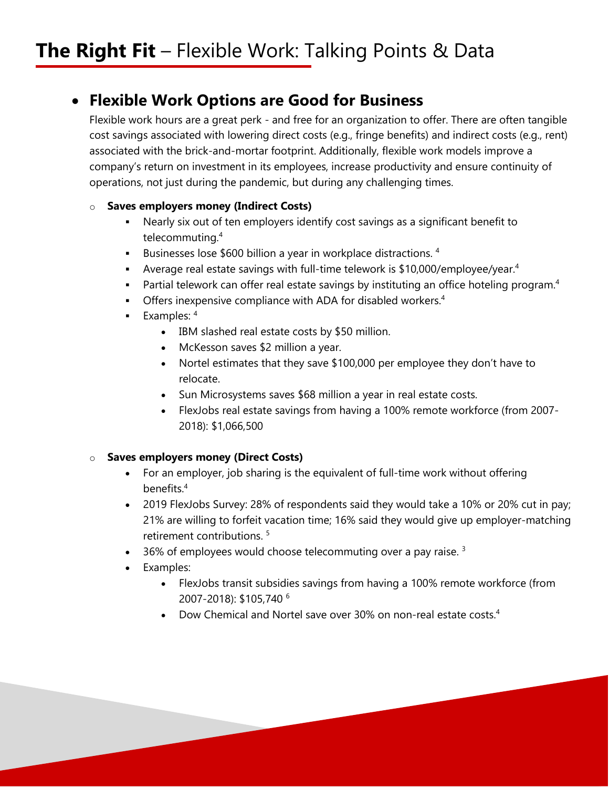### **Flexible Work Options are Good for Business**

Flexible work hours are a great perk - and free for an organization to offer. There are often tangible cost savings associated with lowering direct costs (e.g., fringe benefits) and indirect costs (e.g., rent) associated with the brick-and-mortar footprint. Additionally, flexible work models improve a company's return on investment in its employees, increase productivity and ensure continuity of operations, not just during the pandemic, but during any challenging times.

### o **Saves employers money (Indirect Costs)**

- Nearly six out of ten employers identify cost savings as a significant benefit to telecommuting.4
- Businesses lose  $$600$  billion a year in workplace distractions.<sup>4</sup>
- Average real estate savings with full-time telework is  $$10,000/emplove/year<sup>4</sup>$
- **•** Partial telework can offer real estate savings by instituting an office hoteling program.<sup>4</sup>
- **Offers inexpensive compliance with ADA for disabled workers.**<sup>4</sup>
- Examples:  $4$ 
	- IBM slashed real estate costs by \$50 million.
	- McKesson saves \$2 million a year.
	- Nortel estimates that they save \$100,000 per employee they don't have to relocate.
	- Sun Microsystems saves \$68 million a year in real estate costs.
	- FlexJobs real estate savings from having a 100% remote workforce (from 2007- 2018): \$1,066,500

### o **Saves employers money (Direct Costs)**

- For an employer, job sharing is the equivalent of full-time work without offering benefits.4
- 2019 FlexJobs Survey: 28% of respondents said they would take a 10% or 20% cut in pay; 21% are willing to forfeit vacation time; 16% said they would give up employer-matching retirement contributions. 5
- $\cdot$  36% of employees would choose telecommuting over a pay raise.<sup>3</sup>
- Examples:
	- FlexJobs transit subsidies savings from having a 100% remote workforce (from 2007-2018): \$105,740 6
	- Dow Chemical and Nortel save over 30% on non-real estate costs.<sup>4</sup>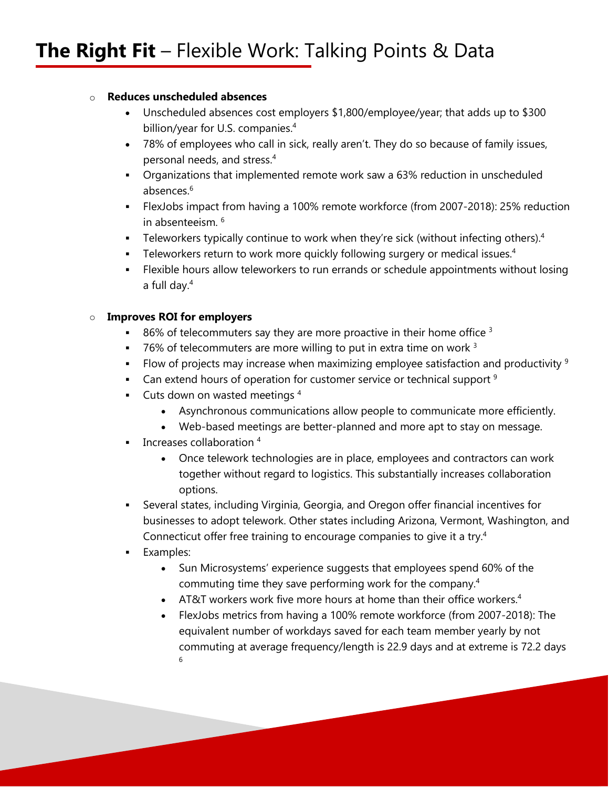### o **Reduces unscheduled absences**

- Unscheduled absences cost employers \$1,800/employee/year; that adds up to \$300 billion/year for U.S. companies.<sup>4</sup>
- 78% of employees who call in sick, really aren't. They do so because of family issues, personal needs, and stress.4
- Organizations that implemented remote work saw a 63% reduction in unscheduled absences.6
- FlexJobs impact from having a 100% remote workforce (from 2007-2018): 25% reduction in absenteeism. 6
- Feleworkers typically continue to work when they're sick (without infecting others).<sup>4</sup>
- Feleworkers return to work more quickly following surgery or medical issues.<sup>4</sup>
- Flexible hours allow teleworkers to run errands or schedule appointments without losing a full day.4

### o **Improves ROI for employers**

- 86% of telecommuters say they are more proactive in their home office  $3$
- $\bullet$  76% of telecommuters are more willing to put in extra time on work  $3$
- Flow of projects may increase when maximizing employee satisfaction and productivity  $9$
- **Can extend hours of operation for customer service or technical support**  $9$
- $\blacksquare$  Cuts down on wasted meetings  $4\blacksquare$ 
	- Asynchronous communications allow people to communicate more efficiently.
	- Web-based meetings are better-planned and more apt to stay on message.
- Increases collaboration 4
	- Once telework technologies are in place, employees and contractors can work together without regard to logistics. This substantially increases collaboration options.
- Several states, including Virginia, Georgia, and Oregon offer financial incentives for businesses to adopt telework. Other states including Arizona, Vermont, Washington, and Connecticut offer free training to encourage companies to give it a try.4
- **Examples:** 
	- Sun Microsystems' experience suggests that employees spend 60% of the commuting time they save performing work for the company.4
	- AT&T workers work five more hours at home than their office workers.<sup>4</sup>
	- FlexJobs metrics from having a 100% remote workforce (from 2007-2018): The equivalent number of workdays saved for each team member yearly by not commuting at average frequency/length is 22.9 days and at extreme is 72.2 days 6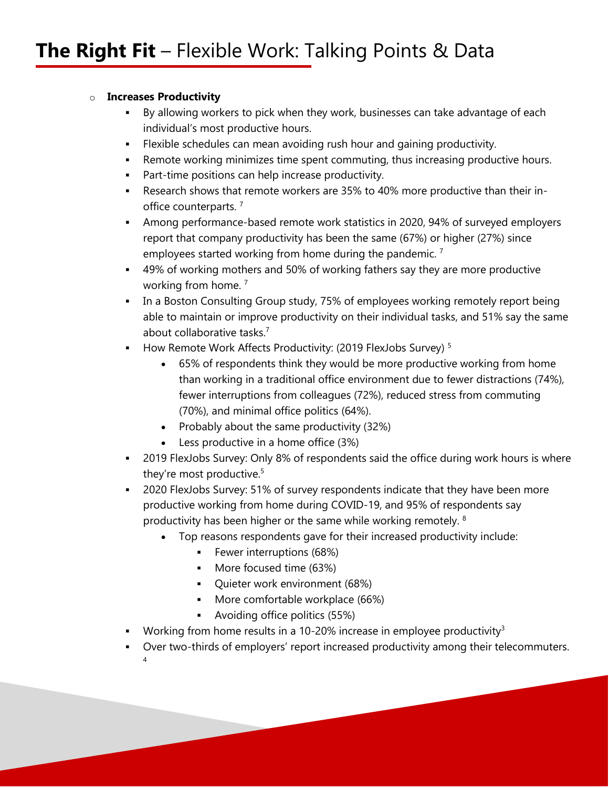### o **Increases Productivity**

- By allowing workers to pick when they work, businesses can take advantage of each individual's most productive hours.
- Flexible schedules can mean avoiding rush hour and gaining productivity.
- Remote working minimizes time spent commuting, thus increasing productive hours.
- **Part-time positions can help increase productivity.**
- Research shows that remote workers are 35% to 40% more productive than their inoffice counterparts.<sup>7</sup>
- Among performance-based remote work statistics in 2020, 94% of surveyed employers report that company productivity has been the same (67%) or higher (27%) since employees started working from home during the pandemic.<sup>7</sup>
- 49% of working mothers and 50% of working fathers say they are more productive working from home.<sup>7</sup>
- In a Boston Consulting Group study, 75% of employees working remotely report being able to maintain or improve productivity on their individual tasks, and 51% say the same about collaborative tasks.<sup>7</sup>
- How Remote Work Affects Productivity: (2019 FlexJobs Survey)<sup>5</sup>
	- 65% of respondents think they would be more productive working from home than working in a traditional office environment due to fewer distractions (74%), fewer interruptions from colleagues (72%), reduced stress from commuting (70%), and minimal office politics (64%).
	- Probably about the same productivity (32%)
	- Less productive in a home office (3%)
- 2019 FlexJobs Survey: Only 8% of respondents said the office during work hours is where they're most productive.<sup>5</sup>
- 2020 FlexJobs Survey: 51% of survey respondents indicate that they have been more productive working from home during COVID-19, and 95% of respondents say productivity has been higher or the same while working remotely. 8
	- Top reasons respondents gave for their increased productivity include:
		- **Fewer interruptions (68%)**
		- **More focused time (63%)**
		- Quieter work environment (68%)
		- **More comfortable workplace (66%)**
		- Avoiding office politics (55%)
- Working from home results in a 10-20% increase in employee productivity<sup>3</sup>
- Over two-thirds of employers' report increased productivity among their telecommuters. 4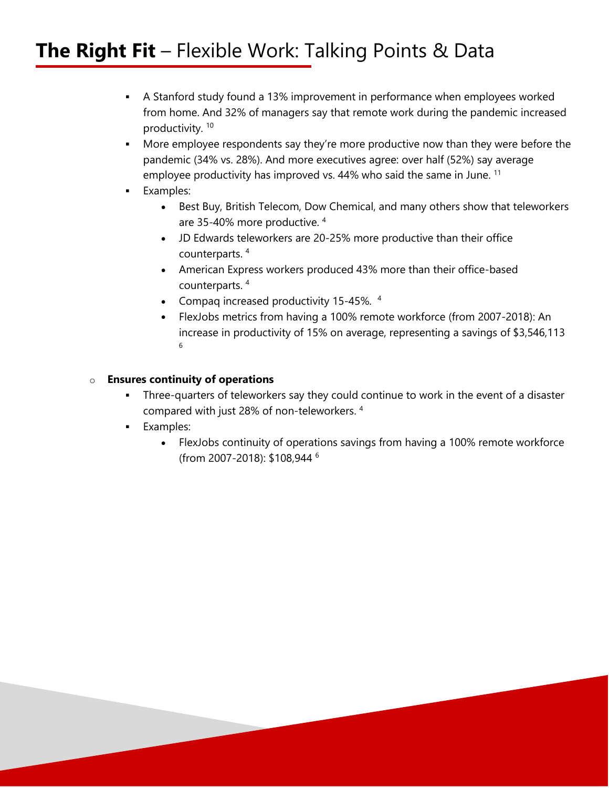- A Stanford study found a 13% improvement in performance when employees worked from home. And 32% of managers say that remote work during the pandemic increased productivity. 10
- More employee respondents say they're more productive now than they were before the pandemic (34% vs. 28%). And more executives agree: over half (52%) say average employee productivity has improved vs. 44% who said the same in June. <sup>11</sup>
- **Examples:** 
	- Best Buy, British Telecom, Dow Chemical, and many others show that teleworkers are 35-40% more productive. 4
	- JD Edwards teleworkers are 20-25% more productive than their office counterparts. 4
	- American Express workers produced 43% more than their office-based counterparts. 4
	- Compaq increased productivity 15-45%. 4
	- FlexJobs metrics from having a 100% remote workforce (from 2007-2018): An increase in productivity of 15% on average, representing a savings of \$3,546,113 6

### o **Ensures continuity of operations**

- Three-quarters of teleworkers say they could continue to work in the event of a disaster compared with just 28% of non-teleworkers. 4
- **Examples:** 
	- FlexJobs continuity of operations savings from having a 100% remote workforce (from 2007-2018): \$108,944 6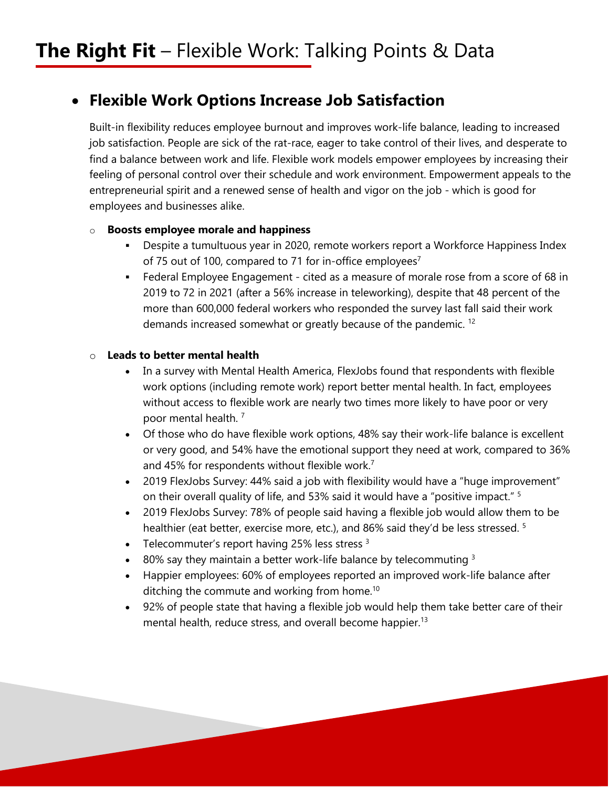### **Flexible Work Options Increase Job Satisfaction**

Built-in flexibility reduces employee burnout and improves work-life balance, leading to increased job satisfaction. People are sick of the rat-race, eager to take control of their lives, and desperate to find a balance between work and life. Flexible work models empower employees by increasing their feeling of personal control over their schedule and work environment. Empowerment appeals to the entrepreneurial spirit and a renewed sense of health and vigor on the job - which is good for employees and businesses alike.

### o **Boosts employee morale and happiness**

- Despite a tumultuous year in 2020, remote workers report a Workforce Happiness Index of 75 out of 100, compared to 71 for in-office employees<sup>7</sup>
- Federal Employee Engagement cited as a measure of morale rose from a score of 68 in 2019 to 72 in 2021 (after a 56% increase in teleworking), despite that 48 percent of the more than 600,000 federal workers who responded the survey last fall said their work demands increased somewhat or greatly because of the pandemic. 12

### o **Leads to better mental health**

- In a survey with Mental Health America, FlexJobs found that respondents with flexible work options (including remote work) report better mental health. In fact, employees without access to flexible work are nearly two times more likely to have poor or very poor mental health. 7
- Of those who do have flexible work options, 48% say their work-life balance is excellent or very good, and 54% have the emotional support they need at work, compared to 36% and 45% for respondents without flexible work.<sup>7</sup>
- 2019 FlexJobs Survey: 44% said a job with flexibility would have a "huge improvement" on their overall quality of life, and 53% said it would have a "positive impact." 5
- 2019 FlexJobs Survey: 78% of people said having a flexible job would allow them to be healthier (eat better, exercise more, etc.), and 86% said they'd be less stressed. <sup>5</sup>
- Telecommuter's report having 25% less stress  $3$
- $\cdot$  80% say they maintain a better work-life balance by telecommuting 3
- Happier employees: 60% of employees reported an improved work-life balance after ditching the commute and working from home.<sup>10</sup>
- 92% of people state that having a flexible job would help them take better care of their mental health, reduce stress, and overall become happier.<sup>13</sup>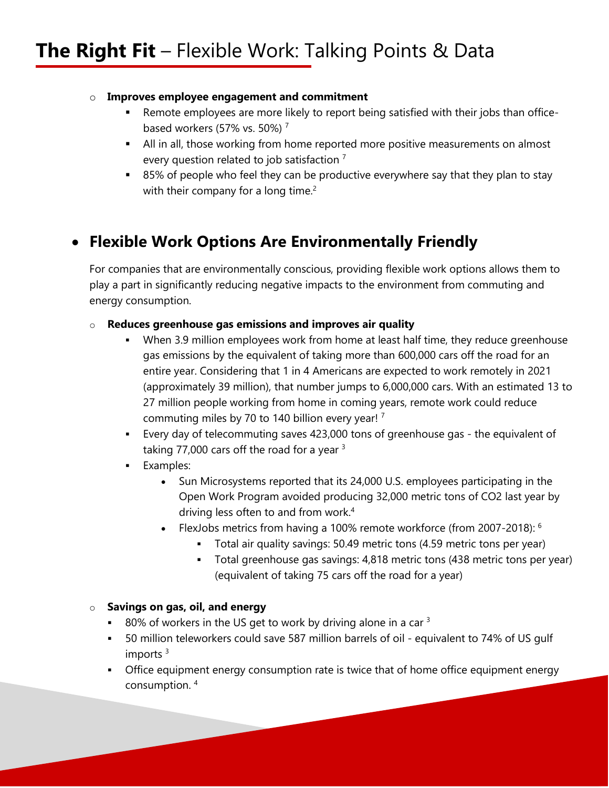### o **Improves employee engagement and commitment**

- Remote employees are more likely to report being satisfied with their jobs than officebased workers (57% vs. 50%) $<sup>7</sup>$ </sup>
- All in all, those working from home reported more positive measurements on almost every question related to job satisfaction<sup>7</sup>
- 85% of people who feel they can be productive everywhere say that they plan to stay with their company for a long time.<sup>2</sup>

## **Flexible Work Options Are Environmentally Friendly**

For companies that are environmentally conscious, providing flexible work options allows them to play a part in significantly reducing negative impacts to the environment from commuting and energy consumption.

### o **Reduces greenhouse gas emissions and improves air quality**

- When 3.9 million employees work from home at least half time, they reduce greenhouse gas emissions by the equivalent of taking more than 600,000 cars off the road for an entire year. Considering that 1 in 4 Americans are expected to work remotely in 2021 (approximately 39 million), that number jumps to 6,000,000 cars. With an estimated 13 to 27 million people working from home in coming years, remote work could reduce commuting miles by 70 to 140 billion every year! 7
- Every day of telecommuting saves 423,000 tons of greenhouse gas the equivalent of taking 77,000 cars off the road for a year  $3$
- **Examples:** 
	- Sun Microsystems reported that its 24,000 U.S. employees participating in the Open Work Program avoided producing 32,000 metric tons of CO2 last year by driving less often to and from work.4
	- FlexJobs metrics from having a 100% remote workforce (from 2007-2018):  $6$ 
		- Total air quality savings: 50.49 metric tons (4.59 metric tons per year)
			- Total greenhouse gas savings: 4,818 metric tons (438 metric tons per year) (equivalent of taking 75 cars off the road for a year)

### o **Savings on gas, oil, and energy**

- 80% of workers in the US get to work by driving alone in a car  $3$
- 50 million teleworkers could save 587 million barrels of oil equivalent to 74% of US gulf imports $3$
- Office equipment energy consumption rate is twice that of home office equipment energy consumption. 4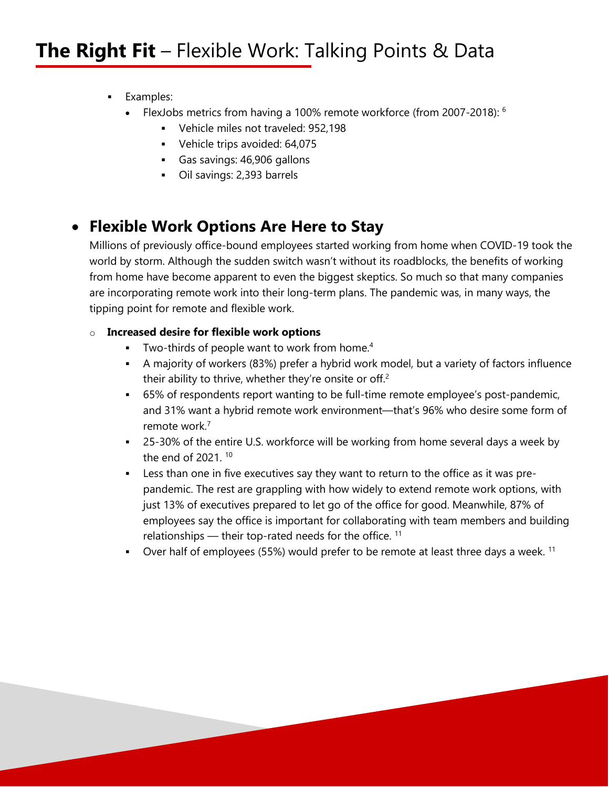- **Examples:** 
	- FlexJobs metrics from having a 100% remote workforce (from 2007-2018): 6
		- Vehicle miles not traveled: 952,198
		- Vehicle trips avoided: 64,075
		- Gas savings: 46,906 gallons
		- Oil savings: 2,393 barrels

## **Flexible Work Options Are Here to Stay**

Millions of previously office-bound employees started working from home when COVID-19 took the world by storm. Although the sudden switch wasn't without its roadblocks, the benefits of working from home have become apparent to even the biggest skeptics. So much so that many companies are incorporating remote work into their long-term plans. The pandemic was, in many ways, the tipping point for remote and flexible work.

### o **Increased desire for flexible work options**

- $\blacksquare$  Two-thirds of people want to work from home.<sup>4</sup>
- A majority of workers (83%) prefer a hybrid work model, but a variety of factors influence their ability to thrive, whether they're onsite or off.<sup>2</sup>
- 65% of respondents report wanting to be full-time remote employee's post-pandemic, and 31% want a hybrid remote work environment—that's 96% who desire some form of remote work.7
- <sup>25-30%</sup> of the entire U.S. workforce will be working from home several days a week by the end of  $2021$ <sup>10</sup>
- Less than one in five executives say they want to return to the office as it was prepandemic. The rest are grappling with how widely to extend remote work options, with just 13% of executives prepared to let go of the office for good. Meanwhile, 87% of employees say the office is important for collaborating with team members and building relationships — their top-rated needs for the office.  $11$
- Over half of employees (55%) would prefer to be remote at least three days a week.  $11$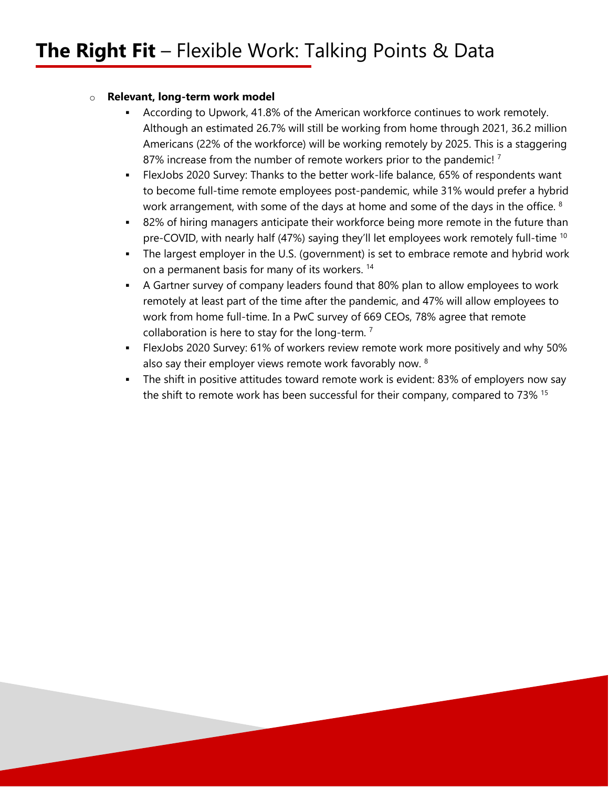### o **Relevant, long-term work model**

- According to Upwork, 41.8% of the American workforce continues to work remotely. Although an estimated 26.7% will still be working from home through 2021, 36.2 million Americans (22% of the workforce) will be working remotely by 2025. This is a staggering 87% increase from the number of remote workers prior to the pandemic!<sup>7</sup>
- FlexJobs 2020 Survey: Thanks to the better work-life balance, 65% of respondents want to become full-time remote employees post-pandemic, while 31% would prefer a hybrid work arrangement, with some of the days at home and some of the days in the office. <sup>8</sup>
- 82% of hiring managers anticipate their workforce being more remote in the future than pre-COVID, with nearly half (47%) saying they'll let employees work remotely full-time <sup>10</sup>
- The largest employer in the U.S. (government) is set to embrace remote and hybrid work on a permanent basis for many of its workers. 14
- A Gartner survey of company leaders found that 80% plan to allow employees to work remotely at least part of the time after the pandemic, and 47% will allow employees to work from home full-time. In a PwC survey of 669 CEOs, 78% agree that remote collaboration is here to stay for the long-term. 7
- FlexJobs 2020 Survey: 61% of workers review remote work more positively and why 50% also say their employer views remote work favorably now. 8
- The shift in positive attitudes toward remote work is evident: 83% of employers now say the shift to remote work has been successful for their company, compared to 73% 15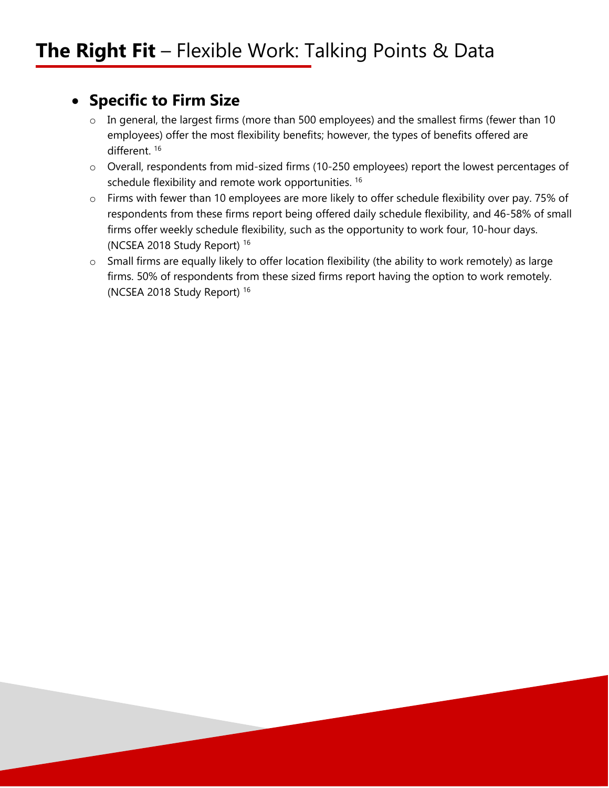### **Specific to Firm Size**

- o In general, the largest firms (more than 500 employees) and the smallest firms (fewer than 10 employees) offer the most flexibility benefits; however, the types of benefits offered are different. 16
- o Overall, respondents from mid-sized firms (10-250 employees) report the lowest percentages of schedule flexibility and remote work opportunities.<sup>16</sup>
- o Firms with fewer than 10 employees are more likely to offer schedule flexibility over pay. 75% of respondents from these firms report being offered daily schedule flexibility, and 46-58% of small firms offer weekly schedule flexibility, such as the opportunity to work four, 10-hour days. (NCSEA 2018 Study Report) 16
- o Small firms are equally likely to offer location flexibility (the ability to work remotely) as large firms. 50% of respondents from these sized firms report having the option to work remotely. (NCSEA 2018 Study Report) 16